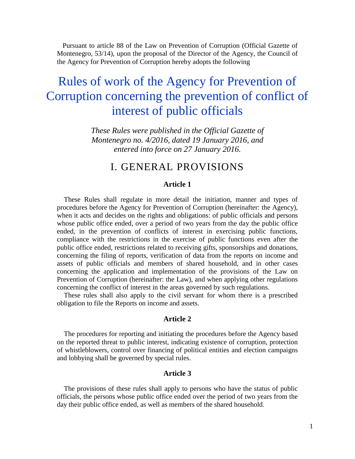Pursuant to article 88 of the Law on Prevention of Corruption (Official Gazette of Montenegro, 53/14), upon the proposal of the Director of the Agency, the Council of the Agency for Prevention of Corruption hereby adopts the following

# Rules of work of the Agency for Prevention of Corruption concerning the prevention of conflict of interest of public officials

*These Rules were published in the Official Gazette of Montenegro no. 4/2016, dated 19 January 2016, and entered into force on 27 January 2016.*

## I. GENERAL PROVISIONS

## **Article 1**

These Rules shall regulate in more detail the initiation, manner and types of procedures before the Agency for Prevention of Corruption (hereinafter: the Agency), when it acts and decides on the rights and obligations: of public officials and persons whose public office ended, over a period of two years from the day the public office ended, in the prevention of conflicts of interest in exercising public functions, compliance with the restrictions in the exercise of public functions even after the public office ended, restrictions related to receiving gifts, sponsorships and donations, concerning the filing of reports, verification of data from the reports on income and assets of public officials and members of shared household, and in other cases concerning the application and implementation of the provisions of the Law on Prevention of Corruption (hereinafter: the Law), and when applying other regulations concerning the conflict of interest in the areas governed by such regulations.

These rules shall also apply to the civil servant for whom there is a prescribed obligation to file the Reports on income and assets.

## **Article 2**

The procedures for reporting and initiating the procedures before the Agency based on the reported threat to public interest, indicating existence of corruption, protection of whistleblowers, control over financing of political entities and election campaigns and lobbying shall be governed by special rules.

## **Article 3**

The provisions of these rules shall apply to persons who have the status of public officials, the persons whose public office ended over the period of two years from the day their public office ended, as well as members of the shared household.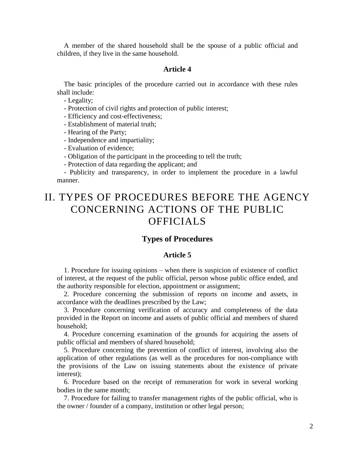A member of the shared household shall be the spouse of a public official and children, if they live in the same household.

#### **Article 4**

The basic principles of the procedure carried out in accordance with these rules shall include:

- Legality;

- Protection of civil rights and protection of public interest;

- Efficiency and cost-effectiveness;

- Establishment of material truth;

- Hearing of the Party;

- Independence and impartiality;

- Evaluation of evidence;
- Obligation of the participant in the proceeding to tell the truth;

- Protection of data regarding the applicant; and

- Publicity and transparency, in order to implement the procedure in a lawful manner.

## II. TYPES OF PROCEDURES BEFORE THE AGENCY CONCERNING ACTIONS OF THE PUBLIC OFFICIALS

#### **Types of Procedures**

### **Article 5**

1. Procedure for issuing opinions – when there is suspicion of existence of conflict of interest, at the request of the public official, person whose public office ended, and the authority responsible for election, appointment or assignment;

2. Procedure concerning the submission of reports on income and assets, in accordance with the deadlines prescribed by the Law;

3. Procedure concerning verification of accuracy and completeness of the data provided in the Report on income and assets of public official and members of shared household;

4. Procedure concerning examination of the grounds for acquiring the assets of public official and members of shared household;

5. Procedure concerning the prevention of conflict of interest, involving also the application of other regulations (as well as the procedures for non-compliance with the provisions of the Law on issuing statements about the existence of private interest);

6. Procedure based on the receipt of remuneration for work in several working bodies in the same month;

7. Procedure for failing to transfer management rights of the public official, who is the owner / founder of a company, institution or other legal person;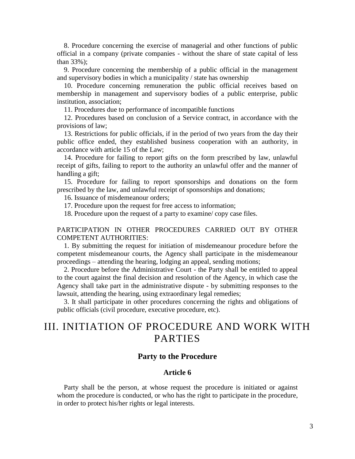8. Procedure concerning the exercise of managerial and other functions of public official in a company (private companies - without the share of state capital of less than 33%);

9. Procedure concerning the membership of a public official in the management and supervisory bodies in which a municipality / state has ownership

10. Procedure concerning remuneration the public official receives based on membership in management and supervisory bodies of a public enterprise, public institution, association;

11. Procedures due to performance of incompatible functions

12. Procedures based on conclusion of a Service contract, in accordance with the provisions of law;

13. Restrictions for public officials, if in the period of two years from the day their public office ended, they established business cooperation with an authority, in accordance with article 15 of the Law;

14. Procedure for failing to report gifts on the form prescribed by law, unlawful receipt of gifts, failing to report to the authority an unlawful offer and the manner of handling a gift;

15. Procedure for failing to report sponsorships and donations on the form prescribed by the law, and unlawful receipt of sponsorships and donations;

16. Issuance of misdemeanour orders;

17. Procedure upon the request for free access to information;

18. Procedure upon the request of a party to examine/ copy case files.

## PARTICIPATION IN OTHER PROCEDURES CARRIED OUT BY OTHER COMPETENT AUTHORITIES:

1. By submitting the request for initiation of misdemeanour procedure before the competent misdemeanour courts, the Agency shall participate in the misdemeanour proceedings – attending the hearing, lodging an appeal, sending motions;

2. Procedure before the Administrative Court - the Party shall be entitled to appeal to the court against the final decision and resolution of the Agency, in which case the Agency shall take part in the administrative dispute - by submitting responses to the lawsuit, attending the hearing, using extraordinary legal remedies;

3. It shall participate in other procedures concerning the rights and obligations of public officials (civil procedure, executive procedure, etc).

## III. INITIATION OF PROCEDURE AND WORK WITH PARTIES

## **Party to the Procedure**

## **Article 6**

Party shall be the person, at whose request the procedure is initiated or against whom the procedure is conducted, or who has the right to participate in the procedure, in order to protect his/her rights or legal interests.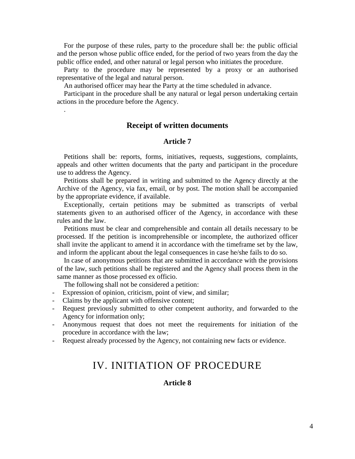For the purpose of these rules, party to the procedure shall be: the public official and the person whose public office ended, for the period of two years from the day the public office ended, and other natural or legal person who initiates the procedure.

Party to the procedure may be represented by a proxy or an authorised representative of the legal and natural person.

An authorised officer may hear the Party at the time scheduled in advance.

Participant in the procedure shall be any natural or legal person undertaking certain actions in the procedure before the Agency.

## **Receipt of written documents**

## **Article 7**

Petitions shall be: reports, forms, initiatives, requests, suggestions, complaints, appeals and other written documents that the party and participant in the procedure use to address the Agency.

Petitions shall be prepared in writing and submitted to the Agency directly at the Archive of the Agency, via fax, email, or by post. The motion shall be accompanied by the appropriate evidence, if available.

Exceptionally, certain petitions may be submitted as transcripts of verbal statements given to an authorised officer of the Agency, in accordance with these rules and the law.

Petitions must be clear and comprehensible and contain all details necessary to be processed. If the petition is incomprehensible or incomplete, the authorized officer shall invite the applicant to amend it in accordance with the timeframe set by the law, and inform the applicant about the legal consequences in case he/she fails to do so.

In case of anonymous petitions that are submitted in accordance with the provisions of the law, such petitions shall be registered and the Agency shall process them in the same manner as those processed ex officio.

The following shall not be considered a petition:

- Expression of opinion, criticism, point of view, and similar;
- Claims by the applicant with offensive content;

.

- Request previously submitted to other competent authority, and forwarded to the Agency for information only;
- Anonymous request that does not meet the requirements for initiation of the procedure in accordance with the law;
- Request already processed by the Agency, not containing new facts or evidence.

## IV. INITIATION OF PROCEDURE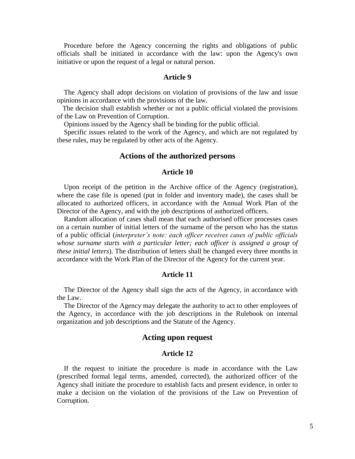Procedure before the Agency concerning the rights and obligations of public officials shall be initiated in accordance with the law: upon the Agency's own initiative or upon the request of a legal or natural person.

#### **Article 9**

The Agency shall adopt decisions on violation of provisions of the law and issue opinions in accordance with the provisions of the law.

The decision shall establish whether or not a public official violated the provisions of the Law on Prevention of Corruption.

Opinions issued by the Agency shall be binding for the public official.

Specific issues related to the work of the Agency, and which are not regulated by these rules, may be regulated by other acts of the Agency.

#### **Actions of the authorized persons**

#### **Article 10**

Upon receipt of the petition in the Archive office of the Agency (registration), where the case file is opened (put in folder and inventory made), the cases shall be allocated to authorized officers, in accordance with the Annual Work Plan of the Director of the Agency, and with the job descriptions of authorized officers.

Random allocation of cases shall mean that each authorised officer processes cases on a certain number of initial letters of the surname of the person who has the status of a public official (*interpreter's note: each officer receives cases of public officials whose surname starts with a particular letter; each officer is assigned a group of these initial letters*). The distribution of letters shall be changed every three months in accordance with the Work Plan of the Director of the Agency for the current year.

#### **Article 11**

The Director of the Agency shall sign the acts of the Agency, in accordance with the Law.

The Director of the Agency may delegate the authority to act to other employees of the Agency, in accordance with the job descriptions in the Rulebook on internal organization and job descriptions and the Statute of the Agency.

## **Acting upon request**

#### **Article 12**

If the request to initiate the procedure is made in accordance with the Law (prescribed formal legal terms, amended, corrected), the authorized officer of the Agency shall initiate the procedure to establish facts and present evidence, in order to make a decision on the violation of the provisions of the Law on Prevention of Corruption.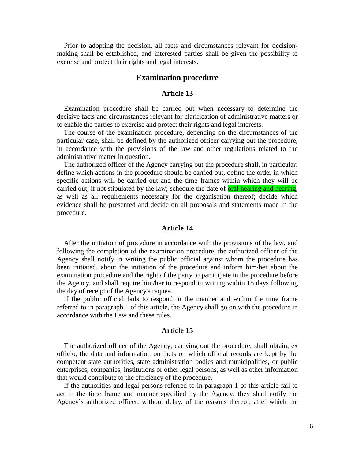Prior to adopting the decision, all facts and circumstances relevant for decisionmaking shall be established, and interested parties shall be given the possibility to exercise and protect their rights and legal interests.

## **Examination procedure**

## **Article 13**

Examination procedure shall be carried out when necessary to determine the decisive facts and circumstances relevant for clarification of administrative matters or to enable the parties to exercise and protect their rights and legal interests.

The course of the examination procedure, depending on the circumstances of the particular case, shall be defined by the authorized officer carrying out the procedure, in accordance with the provisions of the law and other regulations related to the administrative matter in question.

The authorized officer of the Agency carrying out the procedure shall, in particular: define which actions in the procedure should be carried out, define the order in which specific actions will be carried out and the time frames within which they will be carried out, if not stipulated by the law; schedule the date of oral hearing and hearing, as well as all requirements necessary for the organisation thereof; decide which evidence shall be presented and decide on all proposals and statements made in the procedure.

### **Article 14**

After the initiation of procedure in accordance with the provisions of the law, and following the completion of the examination procedure, the authorized officer of the Agency shall notify in writing the public official against whom the procedure has been initiated, about the initiation of the procedure and inform him/her about the examination procedure and the right of the party to participate in the procedure before the Agency, and shall require him/her to respond in writing within 15 days following the day of receipt of the Agency's request.

If the public official fails to respond in the manner and within the time frame referred to in paragraph 1 of this article, the Agency shall go on with the procedure in accordance with the Law and these rules.

#### **Article 15**

The authorized officer of the Agency, carrying out the procedure, shall obtain, ex officio, the data and information on facts on which official records are kept by the competent state authorities, state administration bodies and municipalities, or public enterprises, companies, institutions or other legal persons, as well as other information that would contribute to the efficiency of the procedure.

If the authorities and legal persons referred to in paragraph 1 of this article fail to act in the time frame and manner specified by the Agency, they shall notify the Agency's authorized officer, without delay, of the reasons thereof, after which the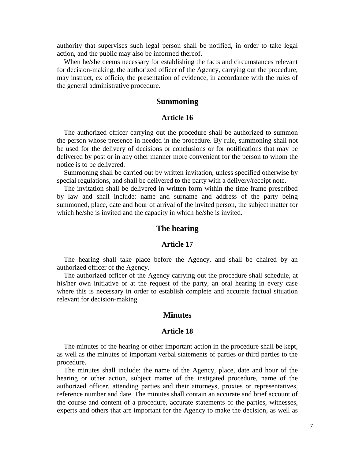authority that supervises such legal person shall be notified, in order to take legal action, and the public may also be informed thereof.

When he/she deems necessary for establishing the facts and circumstances relevant for decision-making, the authorized officer of the Agency, carrying out the procedure, may instruct, ex officio, the presentation of evidence, in accordance with the rules of the general administrative procedure.

## **Summoning**

## **Article 16**

The authorized officer carrying out the procedure shall be authorized to summon the person whose presence in needed in the procedure. By rule, summoning shall not be used for the delivery of decisions or conclusions or for notifications that may be delivered by post or in any other manner more convenient for the person to whom the notice is to be delivered.

Summoning shall be carried out by written invitation, unless specified otherwise by special regulations, and shall be delivered to the party with a delivery/receipt note.

The invitation shall be delivered in written form within the time frame prescribed by law and shall include: name and surname and address of the party being summoned, place, date and hour of arrival of the invited person, the subject matter for which he/she is invited and the capacity in which he/she is invited.

## **The hearing**

#### **Article 17**

The hearing shall take place before the Agency, and shall be chaired by an authorized officer of the Agency.

The authorized officer of the Agency carrying out the procedure shall schedule, at his/her own initiative or at the request of the party, an oral hearing in every case where this is necessary in order to establish complete and accurate factual situation relevant for decision-making.

## **Minutes**

## **Article 18**

The minutes of the hearing or other important action in the procedure shall be kept, as well as the minutes of important verbal statements of parties or third parties to the procedure.

The minutes shall include: the name of the Agency, place, date and hour of the hearing or other action, subject matter of the instigated procedure, name of the authorized officer, attending parties and their attorneys, proxies or representatives, reference number and date. The minutes shall contain an accurate and brief account of the course and content of a procedure, accurate statements of the parties, witnesses, experts and others that are important for the Agency to make the decision, as well as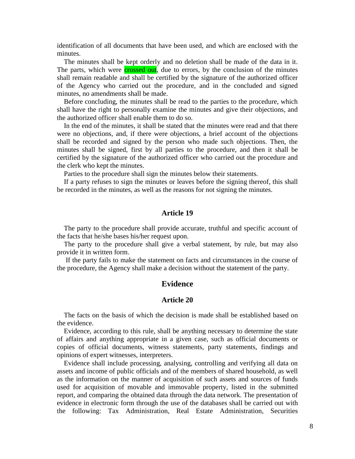identification of all documents that have been used, and which are enclosed with the minutes.

The minutes shall be kept orderly and no deletion shall be made of the data in it. The parts, which were **crossed out**, due to errors, by the conclusion of the minutes shall remain readable and shall be certified by the signature of the authorized officer of the Agency who carried out the procedure, and in the concluded and signed minutes, no amendments shall be made.

Before concluding, the minutes shall be read to the parties to the procedure, which shall have the right to personally examine the minutes and give their objections, and the authorized officer shall enable them to do so.

In the end of the minutes, it shall be stated that the minutes were read and that there were no objections, and, if there were objections, a brief account of the objections shall be recorded and signed by the person who made such objections. Then, the minutes shall be signed, first by all parties to the procedure, and then it shall be certified by the signature of the authorized officer who carried out the procedure and the clerk who kept the minutes.

Parties to the procedure shall sign the minutes below their statements.

If a party refuses to sign the minutes or leaves before the signing thereof, this shall be recorded in the minutes, as well as the reasons for not signing the minutes.

#### **Article 19**

The party to the procedure shall provide accurate, truthful and specific account of the facts that he/she bases his/her request upon.

The party to the procedure shall give a verbal statement, by rule, but may also provide it in written form.

If the party fails to make the statement on facts and circumstances in the course of the procedure, the Agency shall make a decision without the statement of the party.

## **Evidence**

## **Article 20**

The facts on the basis of which the decision is made shall be established based on the evidence.

Evidence, according to this rule, shall be anything necessary to determine the state of affairs and anything appropriate in a given case, such as official documents or copies of official documents, witness statements, party statements, findings and opinions of expert witnesses, interpreters.

Evidence shall include processing, analysing, controlling and verifying all data on assets and income of public officials and of the members of shared household, as well as the information on the manner of acquisition of such assets and sources of funds used for acquisition of movable and immovable property, listed in the submitted report, and comparing the obtained data through the data network. The presentation of evidence in electronic form through the use of the databases shall be carried out with the following: Tax Administration, Real Estate Administration, Securities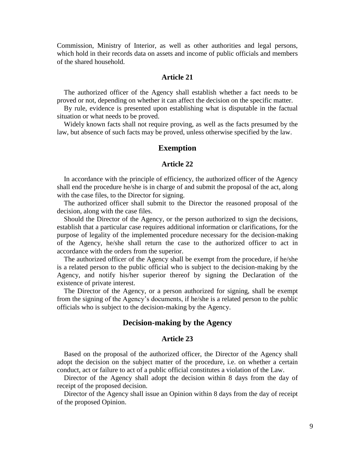Commission, Ministry of Interior, as well as other authorities and legal persons, which hold in their records data on assets and income of public officials and members of the shared household.

### **Article 21**

The authorized officer of the Agency shall establish whether a fact needs to be proved or not, depending on whether it can affect the decision on the specific matter.

By rule, evidence is presented upon establishing what is disputable in the factual situation or what needs to be proved.

Widely known facts shall not require proving, as well as the facts presumed by the law, but absence of such facts may be proved, unless otherwise specified by the law.

### **Exemption**

#### **Article 22**

In accordance with the principle of efficiency, the authorized officer of the Agency shall end the procedure he/she is in charge of and submit the proposal of the act, along with the case files, to the Director for signing.

The authorized officer shall submit to the Director the reasoned proposal of the decision, along with the case files.

Should the Director of the Agency, or the person authorized to sign the decisions, establish that a particular case requires additional information or clarifications, for the purpose of legality of the implemented procedure necessary for the decision-making of the Agency, he/she shall return the case to the authorized officer to act in accordance with the orders from the superior.

The authorized officer of the Agency shall be exempt from the procedure, if he/she is a related person to the public official who is subject to the decision-making by the Agency, and notify his/her superior thereof by signing the Declaration of the existence of private interest.

The Director of the Agency, or a person authorized for signing, shall be exempt from the signing of the Agency's documents, if he/she is a related person to the public officials who is subject to the decision-making by the Agency.

## **Decision-making by the Agency**

## **Article 23**

Based on the proposal of the authorized officer, the Director of the Agency shall adopt the decision on the subject matter of the procedure, i.e. on whether a certain conduct, act or failure to act of a public official constitutes a violation of the Law.

Director of the Agency shall adopt the decision within 8 days from the day of receipt of the proposed decision.

Director of the Agency shall issue an Opinion within 8 days from the day of receipt of the proposed Opinion.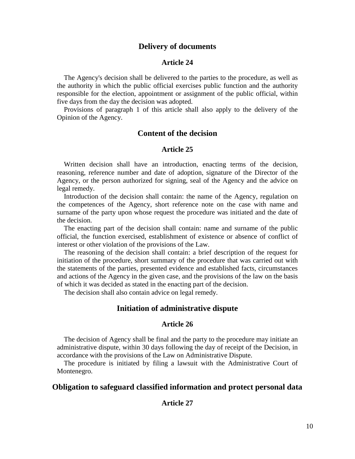## **Delivery of documents**

#### **Article 24**

The Agency's decision shall be delivered to the parties to the procedure, as well as the authority in which the public official exercises public function and the authority responsible for the election, appointment or assignment of the public official, within five days from the day the decision was adopted.

Provisions of paragraph 1 of this article shall also apply to the delivery of the Opinion of the Agency.

## **Content of the decision**

## **Article 25**

Written decision shall have an introduction, enacting terms of the decision, reasoning, reference number and date of adoption, signature of the Director of the Agency, or the person authorized for signing, seal of the Agency and the advice on legal remedy.

Introduction of the decision shall contain: the name of the Agency, regulation on the competences of the Agency, short reference note on the case with name and surname of the party upon whose request the procedure was initiated and the date of the decision.

The enacting part of the decision shall contain: name and surname of the public official, the function exercised, establishment of existence or absence of conflict of interest or other violation of the provisions of the Law.

The reasoning of the decision shall contain: a brief description of the request for initiation of the procedure, short summary of the procedure that was carried out with the statements of the parties, presented evidence and established facts, circumstances and actions of the Agency in the given case, and the provisions of the law on the basis of which it was decided as stated in the enacting part of the decision.

The decision shall also contain advice on legal remedy.

#### **Initiation of administrative dispute**

#### **Article 26**

The decision of Agency shall be final and the party to the procedure may initiate an administrative dispute, within 30 days following the day of receipt of the Decision, in accordance with the provisions of the Law on Administrative Dispute.

The procedure is initiated by filing a lawsuit with the Administrative Court of Montenegro.

## **Obligation to safeguard classified information and protect personal data**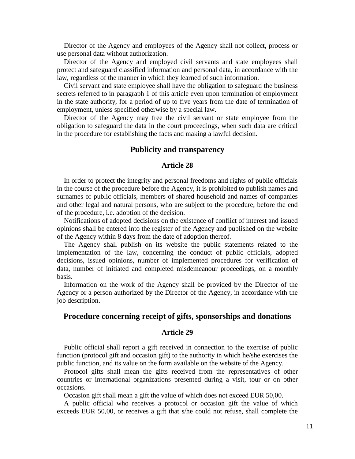Director of the Agency and employees of the Agency shall not collect, process or use personal data without authorization.

Director of the Agency and employed civil servants and state employees shall protect and safeguard classified information and personal data, in accordance with the law, regardless of the manner in which they learned of such information.

Civil servant and state employee shall have the obligation to safeguard the business secrets referred to in paragraph 1 of this article even upon termination of employment in the state authority, for a period of up to five years from the date of termination of employment, unless specified otherwise by a special law.

Director of the Agency may free the civil servant or state employee from the obligation to safeguard the data in the court proceedings, when such data are critical in the procedure for establishing the facts and making a lawful decision.

## **Publicity and transparency**

#### **Article 28**

In order to protect the integrity and personal freedoms and rights of public officials in the course of the procedure before the Agency, it is prohibited to publish names and surnames of public officials, members of shared household and names of companies and other legal and natural persons, who are subject to the procedure, before the end of the procedure, i.e. adoption of the decision.

Notifications of adopted decisions on the existence of conflict of interest and issued opinions shall be entered into the register of the Agency and published on the website of the Agency within 8 days from the date of adoption thereof.

The Agency shall publish on its website the public statements related to the implementation of the law, concerning the conduct of public officials, adopted decisions, issued opinions, number of implemented procedures for verification of data, number of initiated and completed misdemeanour proceedings, on a monthly basis.

Information on the work of the Agency shall be provided by the Director of the Agency or a person authorized by the Director of the Agency, in accordance with the job description.

## **Procedure concerning receipt of gifts, sponsorships and donations**

#### **Article 29**

Public official shall report a gift received in connection to the exercise of public function (protocol gift and occasion gift) to the authority in which he/she exercises the public function, and its value on the form available on the website of the Agency.

Protocol gifts shall mean the gifts received from the representatives of other countries or international organizations presented during a visit, tour or on other occasions.

Occasion gift shall mean a gift the value of which does not exceed EUR 50,00.

A public official who receives a protocol or occasion gift the value of which exceeds EUR 50,00, or receives a gift that s/he could not refuse, shall complete the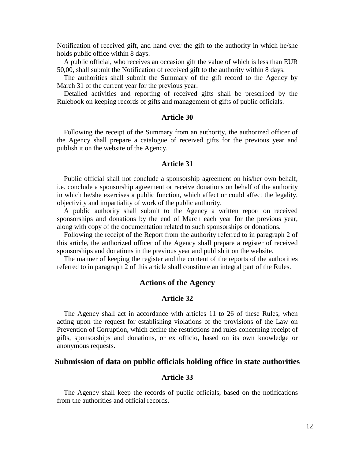Notification of received gift, and hand over the gift to the authority in which he/she holds public office within 8 days.

A public official, who receives an occasion gift the value of which is less than EUR 50,00, shall submit the Notification of received gift to the authority within 8 days.

The authorities shall submit the Summary of the gift record to the Agency by March 31 of the current year for the previous year.

Detailed activities and reporting of received gifts shall be prescribed by the Rulebook on keeping records of gifts and management of gifts of public officials.

#### **Article 30**

Following the receipt of the Summary from an authority, the authorized officer of the Agency shall prepare a catalogue of received gifts for the previous year and publish it on the website of the Agency.

## **Article 31**

Public official shall not conclude a sponsorship agreement on his/her own behalf, i.e. conclude a sponsorship agreement or receive donations on behalf of the authority in which he/she exercises a public function, which affect or could affect the legality, objectivity and impartiality of work of the public authority.

A public authority shall submit to the Agency a written report on received sponsorships and donations by the end of March each year for the previous year, along with copy of the documentation related to such sponsorships or donations.

Following the receipt of the Report from the authority referred to in paragraph 2 of this article, the authorized officer of the Agency shall prepare a register of received sponsorships and donations in the previous year and publish it on the website.

The manner of keeping the register and the content of the reports of the authorities referred to in paragraph 2 of this article shall constitute an integral part of the Rules.

#### **Actions of the Agency**

#### **Article 32**

The Agency shall act in accordance with articles 11 to 26 of these Rules, when acting upon the request for establishing violations of the provisions of the Law on Prevention of Corruption, which define the restrictions and rules concerning receipt of gifts, sponsorships and donations, or ex officio, based on its own knowledge or anonymous requests.

#### **Submission of data on public officials holding office in state authorities**

### **Article 33**

The Agency shall keep the records of public officials, based on the notifications from the authorities and official records.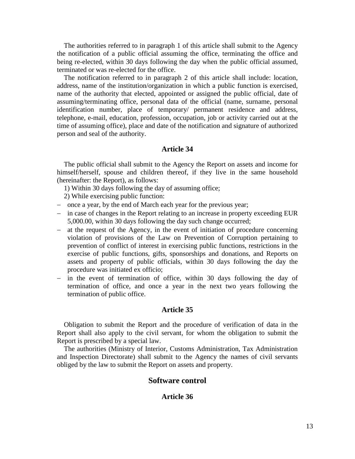The authorities referred to in paragraph 1 of this article shall submit to the Agency the notification of a public official assuming the office, terminating the office and being re-elected, within 30 days following the day when the public official assumed, terminated or was re-elected for the office.

The notification referred to in paragraph 2 of this article shall include: location, address, name of the institution/organization in which a public function is exercised, name of the authority that elected, appointed or assigned the public official, date of assuming/terminating office, personal data of the official (name, surname, personal identification number, place of temporary/ permanent residence and address, telephone, e-mail, education, profession, occupation, job or activity carried out at the time of assuming office), place and date of the notification and signature of authorized person and seal of the authority.

## **Article 34**

The public official shall submit to the Agency the Report on assets and income for himself/herself, spouse and children thereof, if they live in the same household (hereinafter: the Report), as follows:

- 1) Within 30 days following the day of assuming office;
- 2) While exercising public function:
- once a year, by the end of March each year for the previous year;
- in case of changes in the Report relating to an increase in property exceeding EUR 5,000.00, within 30 days following the day such change occurred;
- at the request of the Agency, in the event of initiation of procedure concerning violation of provisions of the Law on Prevention of Corruption pertaining to prevention of conflict of interest in exercising public functions, restrictions in the exercise of public functions, gifts, sponsorships and donations, and Reports on assets and property of public officials, within 30 days following the day the procedure was initiated ex officio;
- in the event of termination of office, within 30 days following the day of termination of office, and once a year in the next two years following the termination of public office.

#### **Article 35**

Obligation to submit the Report and the procedure of verification of data in the Report shall also apply to the civil servant, for whom the obligation to submit the Report is prescribed by a special law.

The authorities (Ministry of Interior, Customs Administration, Tax Administration and Inspection Directorate) shall submit to the Agency the names of civil servants obliged by the law to submit the Report on assets and property.

#### **Software control**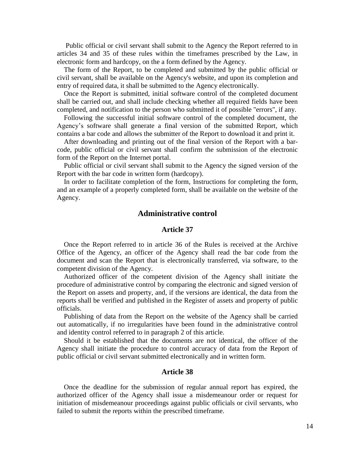Public official or civil servant shall submit to the Agency the Report referred to in articles 34 and 35 of these rules within the timeframes prescribed by the Law, in electronic form and hardcopy, on the a form defined by the Agency.

The form of the Report, to be completed and submitted by the public official or civil servant, shall be available on the Agency's website, and upon its completion and entry of required data, it shall be submitted to the Agency electronically.

Once the Report is submitted, initial software control of the completed document shall be carried out, and shall include checking whether all required fields have been completed, and notification to the person who submitted it of possible "errors", if any.

Following the successful initial software control of the completed document, the Agency's software shall generate a final version of the submitted Report, which contains a bar code and allows the submitter of the Report to download it and print it.

After downloading and printing out of the final version of the Report with a barcode, public official or civil servant shall confirm the submission of the electronic form of the Report on the Internet portal.

Public official or civil servant shall submit to the Agency the signed version of the Report with the bar code in written form (hardcopy).

In order to facilitate completion of the form, Instructions for completing the form, and an example of a properly completed form, shall be available on the website of the Agency.

## **Administrative control**

#### **Article 37**

Once the Report referred to in article 36 of the Rules is received at the Archive Office of the Agency, an officer of the Agency shall read the bar code from the document and scan the Report that is electronically transferred, via software, to the competent division of the Agency.

Authorized officer of the competent division of the Agency shall initiate the procedure of administrative control by comparing the electronic and signed version of the Report on assets and property, and, if the versions are identical, the data from the reports shall be verified and published in the Register of assets and property of public officials.

Publishing of data from the Report on the website of the Agency shall be carried out automatically, if no irregularities have been found in the administrative control and identity control referred to in paragraph 2 of this article.

Should it be established that the documents are not identical, the officer of the Agency shall initiate the procedure to control accuracy of data from the Report of public official or civil servant submitted electronically and in written form.

#### **Article 38**

Once the deadline for the submission of regular annual report has expired, the authorized officer of the Agency shall issue a misdemeanour order or request for initiation of misdemeanour proceedings against public officials or civil servants, who failed to submit the reports within the prescribed timeframe.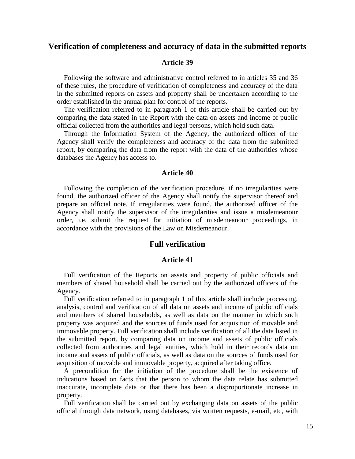## **Verification of completeness and accuracy of data in the submitted reports**

#### **Article 39**

Following the software and administrative control referred to in articles 35 and 36 of these rules, the procedure of verification of completeness and accuracy of the data in the submitted reports on assets and property shall be undertaken according to the order established in the annual plan for control of the reports.

The verification referred to in paragraph 1 of this article shall be carried out by comparing the data stated in the Report with the data on assets and income of public official collected from the authorities and legal persons, which hold such data.

Through the Information System of the Agency, the authorized officer of the Agency shall verify the completeness and accuracy of the data from the submitted report, by comparing the data from the report with the data of the authorities whose databases the Agency has access to.

#### **Article 40**

Following the completion of the verification procedure, if no irregularities were found, the authorized officer of the Agency shall notify the supervisor thereof and prepare an official note. If irregularities were found, the authorized officer of the Agency shall notify the supervisor of the irregularities and issue a misdemeanour order, i.e. submit the request for initiation of misdemeanour proceedings, in accordance with the provisions of the Law on Misdemeanour.

#### **Full verification**

#### **Article 41**

Full verification of the Reports on assets and property of public officials and members of shared household shall be carried out by the authorized officers of the Agency.

Full verification referred to in paragraph 1 of this article shall include processing, analysis, control and verification of all data on assets and income of public officials and members of shared households, as well as data on the manner in which such property was acquired and the sources of funds used for acquisition of movable and immovable property. Full verification shall include verification of all the data listed in the submitted report, by comparing data on income and assets of public officials collected from authorities and legal entities, which hold in their records data on income and assets of public officials, as well as data on the sources of funds used for acquisition of movable and immovable property, acquired after taking office.

A precondition for the initiation of the procedure shall be the existence of indications based on facts that the person to whom the data relate has submitted inaccurate, incomplete data or that there has been a disproportionate increase in property.

Full verification shall be carried out by exchanging data on assets of the public official through data network, using databases, via written requests, e-mail, etc, with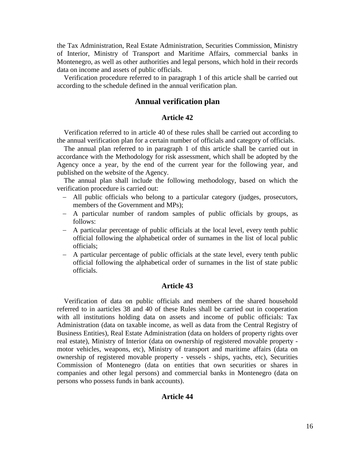the Tax Administration, Real Estate Administration, Securities Commission, Ministry of Interior, Ministry of Transport and Maritime Affairs, commercial banks in Montenegro, as well as other authorities and legal persons, which hold in their records data on income and assets of public officials.

Verification procedure referred to in paragraph 1 of this article shall be carried out according to the schedule defined in the annual verification plan.

## **Annual verification plan**

## **Article 42**

Verification referred to in article 40 of these rules shall be carried out according to the annual verification plan for a certain number of officials and category of officials.

The annual plan referred to in paragraph 1 of this article shall be carried out in accordance with the Methodology for risk assessment, which shall be adopted by the Agency once a year, by the end of the current year for the following year, and published on the website of the Agency.

The annual plan shall include the following methodology, based on which the verification procedure is carried out:

- All public officials who belong to a particular category (judges, prosecutors, members of the Government and MPs);
- A particular number of random samples of public officials by groups, as follows:
- A particular percentage of public officials at the local level, every tenth public official following the alphabetical order of surnames in the list of local public officials;
- A particular percentage of public officials at the state level, every tenth public official following the alphabetical order of surnames in the list of state public officials.

#### **Article 43**

Verification of data on public officials and members of the shared household referred to in aarticles 38 and 40 of these Rules shall be carried out in cooperation with all institutions holding data on assets and income of public officials: Tax Administration (data on taxable income, as well as data from the Central Registry of Business Entities), Real Estate Administration (data on holders of property rights over real estate), Ministry of Interior (data on ownership of registered movable property motor vehicles, weapons, etc), Ministry of transport and maritime affairs (data on ownership of registered movable property - vessels - ships, yachts, etc), Securities Commission of Montenegro (data on entities that own securities or shares in companies and other legal persons) and commercial banks in Montenegro (data on persons who possess funds in bank accounts).